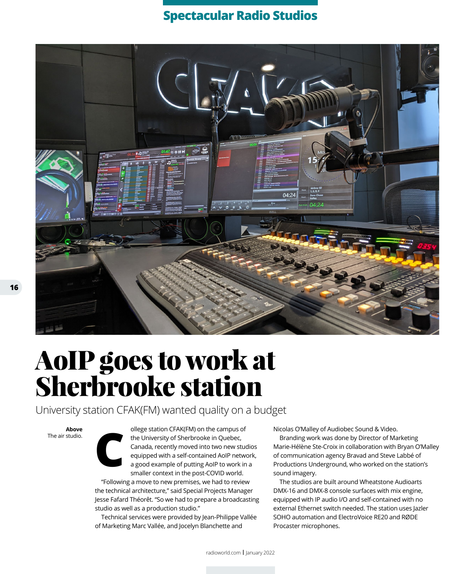## **Spectacular Radio Studios**



## AoIP goes to work at Sherbrooke station

University station CFAK(FM) wanted quality on a budget

**Above** The air studio. **C** ollege station CFAK(FM) on the campus of the University of Sherbrooke in Quebec, Canada, recently moved into two new studios equipped with a self-contained AoIP network, a good example of putting AoIP to work in a smaller context in the post-COVID world.

"Following a move to new premises, we had to review the technical architecture," said Special Projects Manager Jesse Fafard Théorêt. "So we had to prepare a broadcasting studio as well as a production studio."

Technical services were provided by Jean-Philippe Vallée of Marketing Marc Vallée, and Jocelyn Blanchette and

Nicolas O'Malley of Audiobec Sound & Video.

Branding work was done by Director of Marketing Marie-Hélène Ste-Croix in collaboration with Bryan O'Malley of communication agency Bravad and Steve Labbé of Productions Underground, who worked on the station's sound imagery.

The studios are built around Wheatstone Audioarts DMX-16 and DMX-8 console surfaces with mix engine, equipped with IP audio I/O and self-contained with no external Ethernet switch needed. The station uses Jazler SOHO automation and ElectroVoice RE20 and RØDE Procaster microphones.